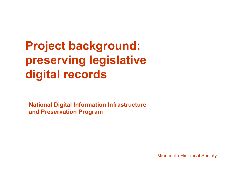# **Project background: preserving legislative di gital records**

**National Digital Information Infrastructure and Preservation Program**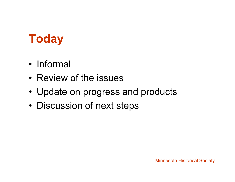## **Today**

- Informal
- Review of the issues
- Update on progress and products
- •• Discussion of next steps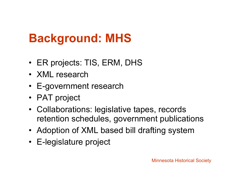## **Background: MHS**

- ER projects: TIS, ERM, DHS
- XML research
- E-government research
- PAT project
- Collaborations: legislative tapes, records retention schedules, government publications
- Adoption of XML based bill drafting system
- E-legislature project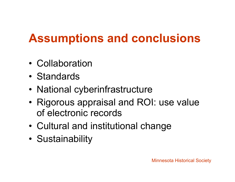# **Assumptions and conclusions**

- Collaboration
- Standards
- •National cyberinfrastructure
- • Rigorous appraisal and ROI: use value of electronic records
- •Cultural and institutional change
- •**Sustainability**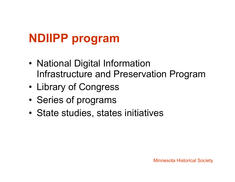# **NDIIPP program**

- • National Digital Information Infrastructure and Preservation Program
- •Library of Congress
- •• Series of programs
- •State studies, states initiatives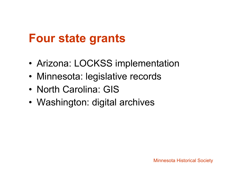### **Four state grants**

- •Arizona: LOCKSS implementation
- Minnesota: legislative records
- North Carolina: GIS
- Washington: digital archives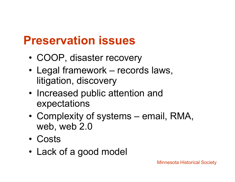#### **Preservation issues**

- •• COOP, disaster recovery
- • Legal framework – records laws, litigation, discovery
- Increased public attention and expectations
- • Complexity of systems – email, RMA, web, web 2.0
- Costs
- Lack of a good model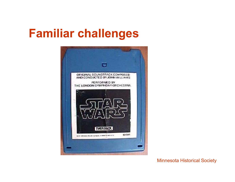#### **Familiar challenges challenges**

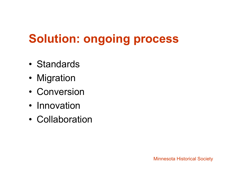# **Solution: ongoing process**

- Standards
- Migration
- Conversion
- Innovation
- Collaboration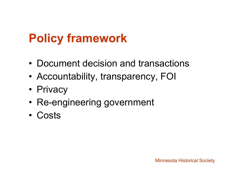# **Policy framework**

- Document decision and transactions
- •• Accountability, transparency, FOI
- Privacy
- Re-engineering government
- Costs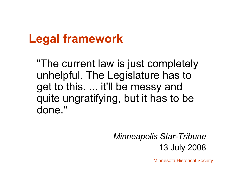#### **Legal framework**

"The current law is just completely unhelpful. The Legislature has to get to this. ... it'll be messy and quite ungratifying, but it has to be done.''

#### *Minneapolis Star-Tribune* 13 July 2008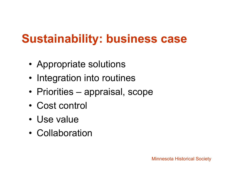## **Sustainability: business case**

- Appropriate solutions
- Integration into routines
- Priorities appraisal, scope
- Cost control
- Use value
- Collaboration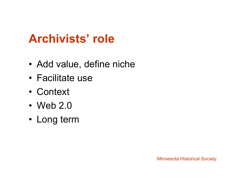#### **Archivists' role**

- •Add value, define niche
- Facilitate use
- Context
- $\cdot$  Web 2.0
- Long term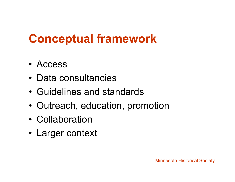### **Conceptual framework**

- Access
- Data consultancies
- Guidelines and standards
- •• Outreach, education, promotion
- Collaboration
- Larger context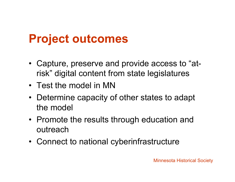### **Project outcomes**

- Capture, preserve and provide access to "atrisk" digital content from state legislatures
- Test the model in MN
- Determine capacity of other states to adapt the model
- Promote the results through education and outreach
- Connect to national cyberinfrastructure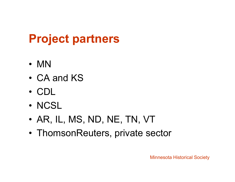# **Project partners**

- MN
- CA and KS
- CDL
- NCSL
- •AR, IL, MS, ND, NE, TN, VT
- ThomsonReuters, private sector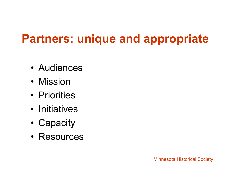# **Partners: unique and appropriate**

- Audiences
- Mission
- Priorities
- Initiatives
- •Capacity
- Resources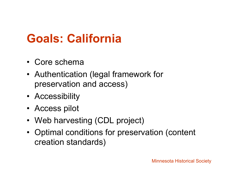## **Goals: California**

- Core schema
- Authentication (legal framework for preservation and access)
- Accessibility
- Access pilot
- Web harvesting (CDL project)
- Optimal conditions for preservation (content creation standards)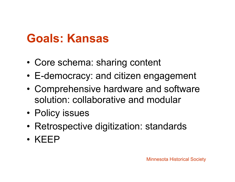#### **Goals: Kansas**

- •Core schema: sharing content
- E-democracy: and citizen engagement
- • Comprehensive hardware and software solution: collaborative and modular
- Policy issues
- Retrospective digitization: standards
- KEEP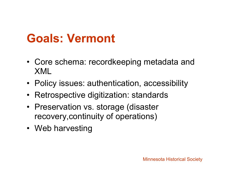## **Goals: Vermont**

- Core schema: recordkeeping metadata and XML
- Policy issues: authentication, accessibility
- •Retrospective digitization: standards
- Preservation vs. storage (disaster recovery,continuity of operations)
- Web harvesting